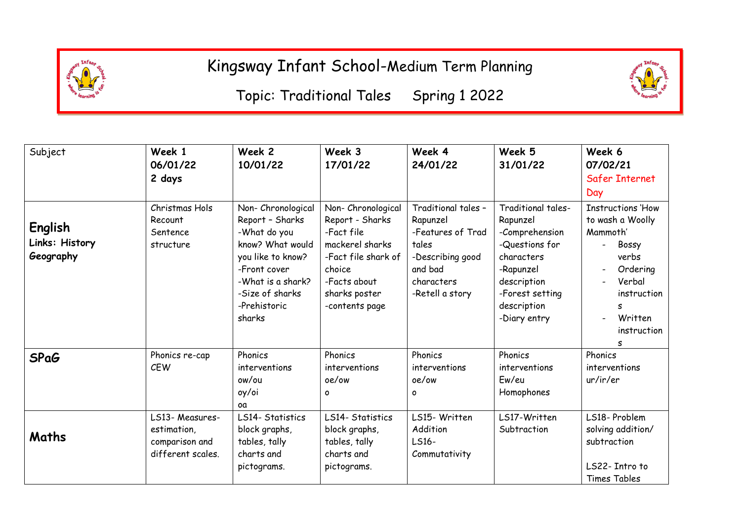

<u>the state of the state of the state of the state of the state of the state of the state of the state of the s</u> Topic: Traditional Tales Spring 1 2022

| Subject                                | Week 1<br>06/01/22<br>2 days                                          | Week 2<br>10/01/22                                                                                                                                                              | Week 3<br>17/01/22                                                                                                                                         | Week 4<br>24/01/22                                                                                                            | Week 5<br>31/01/22                                                                                                                                             | Week 6<br>07/02/21<br><b>Safer Internet</b><br>Day                                                                                                  |
|----------------------------------------|-----------------------------------------------------------------------|---------------------------------------------------------------------------------------------------------------------------------------------------------------------------------|------------------------------------------------------------------------------------------------------------------------------------------------------------|-------------------------------------------------------------------------------------------------------------------------------|----------------------------------------------------------------------------------------------------------------------------------------------------------------|-----------------------------------------------------------------------------------------------------------------------------------------------------|
| English<br>Links: History<br>Geography | Christmas Hols<br>Recount<br>Sentence<br>structure                    | Non-Chronological<br>Report - Sharks<br>-What do you<br>know? What would<br>you like to know?<br>-Front cover<br>-What is a shark?<br>-Size of sharks<br>-Prehistoric<br>sharks | Non- Chronological<br>Report - Sharks<br>-Fact file<br>mackerel sharks<br>-Fact file shark of<br>choice<br>-Facts about<br>sharks poster<br>-contents page | Traditional tales -<br>Rapunzel<br>-Features of Trad<br>tales<br>-Describing good<br>and bad<br>characters<br>-Retell a story | Traditional tales-<br>Rapunzel<br>-Comprehension<br>-Questions for<br>characters<br>-Rapunzel<br>description<br>-Forest setting<br>description<br>-Diary entry | <b>Instructions 'How</b><br>to wash a Woolly<br>Mammoth'<br>Bossy<br>verbs<br>Ordering<br>Verbal<br>instruction<br>S<br>Written<br>instruction<br>s |
| <b>SPaG</b>                            | Phonics re-cap<br><b>CEW</b>                                          | Phonics<br>interventions<br>ow/ou<br>oy/oi<br>oα                                                                                                                                | Phonics<br>interventions<br>oe/ow<br>$\circ$                                                                                                               | Phonics<br>interventions<br>oe/ow<br>O                                                                                        | Phonics<br>interventions<br>Ew/eu<br>Homophones                                                                                                                | Phonics<br>interventions<br>ur/ir/er                                                                                                                |
| Maths                                  | LS13- Measures-<br>estimation,<br>comparison and<br>different scales. | LS14- Statistics<br>block graphs,<br>tables, tally<br>charts and<br>pictograms.                                                                                                 | LS14- Statistics<br>block graphs,<br>tables, tally<br>charts and<br>pictograms.                                                                            | LS15- Written<br>Addition<br>LS16-<br>Commutativity                                                                           | LS17-Written<br>Subtraction                                                                                                                                    | LS18-Problem<br>solving addition/<br>subtraction<br>LS22- Intro to<br>Times Tables                                                                  |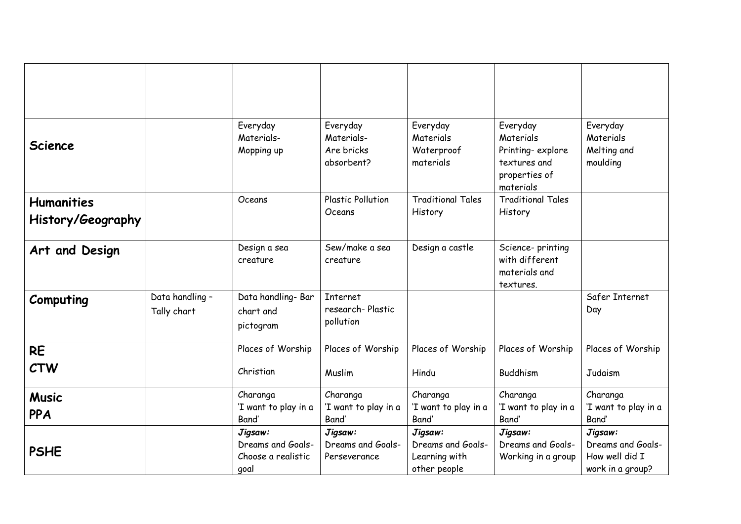| <b>Science</b>                         |                                | Everyday<br>Materials-<br>Mopping up                       | Everyday<br>Materials-<br>Are bricks<br>absorbent? | Everyday<br>Materials<br>Waterproof<br>materials              | Everyday<br>Materials<br>Printing-explore<br>textures and<br>properties of<br>materials | Everyday<br>Materials<br>Melting and<br>moulding                   |
|----------------------------------------|--------------------------------|------------------------------------------------------------|----------------------------------------------------|---------------------------------------------------------------|-----------------------------------------------------------------------------------------|--------------------------------------------------------------------|
| <b>Humanities</b><br>History/Geography |                                | Oceans                                                     | <b>Plastic Pollution</b><br>Oceans                 | <b>Traditional Tales</b><br>History                           | <b>Traditional Tales</b><br>History                                                     |                                                                    |
| Art and Design                         |                                | Design a sea<br>creature                                   | Sew/make a sea<br>creature                         | Design a castle                                               | Science-printing<br>with different<br>materials and<br>textures.                        |                                                                    |
| Computing                              | Data handling -<br>Tally chart | Data handling- Bar<br>chart and<br>pictogram               | <b>Internet</b><br>research-Plastic<br>pollution   |                                                               |                                                                                         | Safer Internet<br>Day                                              |
| <b>RE</b><br><b>CTW</b>                |                                | Places of Worship<br>Christian                             | Places of Worship<br>Muslim                        | Places of Worship<br>Hindu                                    | Places of Worship<br>Buddhism                                                           | Places of Worship<br>Judaism                                       |
| <b>Music</b><br><b>PPA</b>             |                                | Charanga<br>'I want to play in a<br>Band'                  | Charanga<br>'I want to play in a<br>Band'          | Charanga<br>'I want to play in a<br>Band'                     | Charanga<br>'I want to play in a<br>Band'                                               | Charanga<br>'I want to play in a<br>Band'                          |
| <b>PSHE</b>                            |                                | Jigsaw:<br>Dreams and Goals-<br>Choose a realistic<br>goal | Jigsaw:<br>Dreams and Goals-<br>Perseverance       | Jigsaw:<br>Dreams and Goals-<br>Learning with<br>other people | Jigsaw:<br>Dreams and Goals-<br>Working in a group                                      | Jigsaw:<br>Dreams and Goals-<br>How well did I<br>work in a group? |